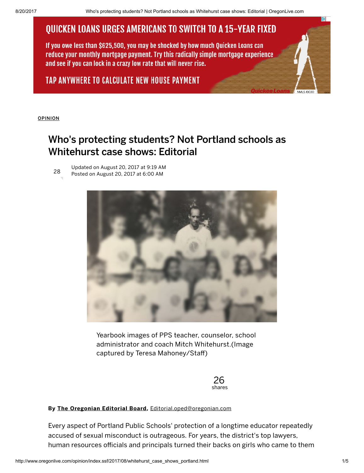# **QUICKEN LOANS URGES AMERICANS TO SWITCH TO A 15-YEAR FIXED**

If you owe less than \$625,500, you may be shocked by how much Ouicken Loans can reduce your monthly mortgage payment. Try this radically simple mortgage experience and see if you can lock in a crazy low rate that will never rise.

### TAP ANYWHERE TO CALCULATE NEW HOUSE PAYMENT

[OPINION](http://www.oregonlive.com/opinion/index.ssf/)

## Who's protecting students? Not Portland schools as Whitehurst case shows: Editorial

Updated on August 20, 2017 at 9:19 AM Posted on August 20, 2017 at 6:00 AM 28



Yearbook images of PPS teacher, counselor, school administrator and coach Mitch Whitehurst.(Image captured by Teresa Mahoney/Staff)

> 26 shares

#### By The [Oregonian](http://connect.oregonlive.com/staff/oliveoregedb/posts.html) Editorial Board, [Editorial.oped@oregonian.com](mailto:Editorial.oped@oregonian.com)

Every aspect of Portland Public Schools' protection of a longtime educator repeatedly accused of sexual misconduct is outrageous. For years, the district's top lawyers, human resources officials and principals turned their backs on girls who came to them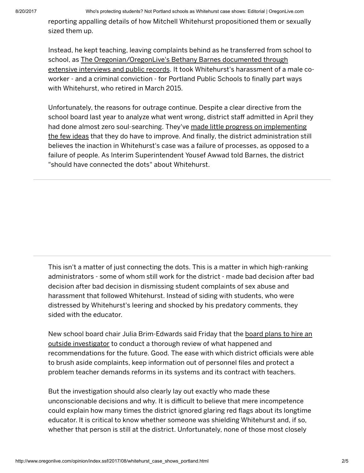reporting appalling details of how Mitchell Whitehurst propositioned them or sexually sized them up.

Instead, he kept teaching, leaving complaints behind as he transferred from school to school, as The [Oregonian/OregonLive's](http://www.oregonlive.com/education/index.ssf/2017/08/benefit_of_the_doubt.html) Bethany Barnes documented through extensive interviews and public records. It took Whitehurst's harassment of a male coworker - and a criminal conviction - for Portland Public Schools to finally part ways with Whitehurst, who retired in March 2015.

Unfortunately, the reasons for outrage continue. Despite a clear directive from the school board last year to analyze what went wrong, district staff admitted in April they had done almost zero [soul-searching.](http://www.oregonlive.com/education/index.ssf/2017/08/portland_public_schools_still_1.html) They've made little progress on implementing the few ideas that they do have to improve. And finally, the district administration still believes the inaction in Whitehurst's case was a failure of processes, as opposed to a failure of people. As Interim Superintendent Yousef Awwad told Barnes, the district "should have connected the dots" about Whitehurst.

This isn't a matter of just connecting the dots. This is a matter in which high-ranking administrators - some of whom still work for the district - made bad decision after bad decision after bad decision in dismissing student complaints of sex abuse and harassment that followed Whitehurst. Instead of siding with students, who were distressed by Whitehurst's leering and shocked by his predatory comments, they sided with the educator.

New school board chair Julia [Brim-Edwards](http://www.oregonlive.com/education/index.ssf/2017/08/outraged_portland_school_board.html) said Friday that the board plans to hire an outside investigator to conduct a thorough review of what happened and recommendations for the future. Good. The ease with which district officials were able to brush aside complaints, keep information out of personnel files and protect a problem teacher demands reforms in its systems and its contract with teachers.

But the investigation should also clearly lay out exactly who made these unconscionable decisions and why. It is difficult to believe that mere incompetence could explain how many times the district ignored glaring red flags about its longtime educator. It is critical to know whether someone was shielding Whitehurst and, if so, whether that person is still at the district. Unfortunately, none of those most closely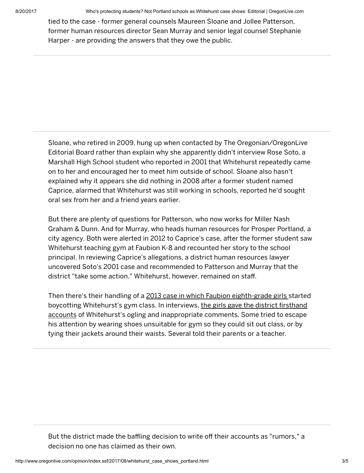8/20/2017 Who's protecting students? Not Portland schools as Whitehurst case shows: Editorial | OregonLive.com

tied to the case - former general counsels Maureen Sloane and Jollee Patterson, former human resources director Sean Murray and senior legal counsel Stephanie Harper - are providing the answers that they owe the public.

Sloane, who retired in 2009, hung up when contacted by The Oregonian/OregonLive Editorial Board rather than explain why she apparently didn't interview Rose Soto, a Marshall High School student who reported in 2001 that Whitehurst repeatedly came on to her and encouraged her to meet him outside of school. Sloane also hasn't explained why it appears she did nothing in 2008 after a former student named Caprice, alarmed that Whitehurst was still working in schools, reported he'd sought oral sex from her and a friend years earlier.

But there are plenty of questions for Patterson, who now works for Miller Nash Graham & Dunn. And for Murray, who heads human resources for Prosper Portland, a city agency. Both were alerted in 2012 to Caprice's case, after the former student saw Whitehurst teaching gym at Faubion K-8 and recounted her story to the school principal. In reviewing Caprice's allegations, a district human resources lawyer uncovered Soto's 2001 case and recommended to Patterson and Murray that the district "take some action." Whitehurst, however, remained on staff.

Then there's their handling of a 2013 case in which Faubion [eighth-grade](http://www.oregonlive.com/education/index.ssf/2016/09/years_of_sex_misconduct_compla.html) girls started boycotting Whitehurst's gym class. In interviews, the girls gave the district firsthand accounts of Whitehurst's ogling and [inappropriate](http://media.oregonlive.com/education_impact/other/Faubion%20student%20interviews%20part%201.pdf) comments. Some tried to escape his attention by wearing shoes unsuitable for gym so they could sit out class, or by tying their jackets around their waists. Several told their parents or a teacher.

But the district made the baffling decision to write off their accounts as "rumors," a decision no one has claimed as their own.